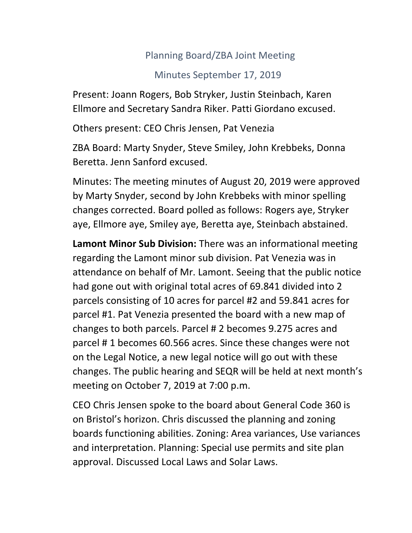## Planning Board/ZBA Joint Meeting

## Minutes September 17, 2019

Present: Joann Rogers, Bob Stryker, Justin Steinbach, Karen Ellmore and Secretary Sandra Riker. Patti Giordano excused.

Others present: CEO Chris Jensen, Pat Venezia

ZBA Board: Marty Snyder, Steve Smiley, John Krebbeks, Donna Beretta. Jenn Sanford excused.

Minutes: The meeting minutes of August 20, 2019 were approved by Marty Snyder, second by John Krebbeks with minor spelling changes corrected. Board polled as follows: Rogers aye, Stryker aye, Ellmore aye, Smiley aye, Beretta aye, Steinbach abstained.

**Lamont Minor Sub Division:** There was an informational meeting regarding the Lamont minor sub division. Pat Venezia was in attendance on behalf of Mr. Lamont. Seeing that the public notice had gone out with original total acres of 69.841 divided into 2 parcels consisting of 10 acres for parcel #2 and 59.841 acres for parcel #1. Pat Venezia presented the board with a new map of changes to both parcels. Parcel # 2 becomes 9.275 acres and parcel # 1 becomes 60.566 acres. Since these changes were not on the Legal Notice, a new legal notice will go out with these changes. The public hearing and SEQR will be held at next month's meeting on October 7, 2019 at 7:00 p.m.

CEO Chris Jensen spoke to the board about General Code 360 is on Bristol's horizon. Chris discussed the planning and zoning boards functioning abilities. Zoning: Area variances, Use variances and interpretation. Planning: Special use permits and site plan approval. Discussed Local Laws and Solar Laws.